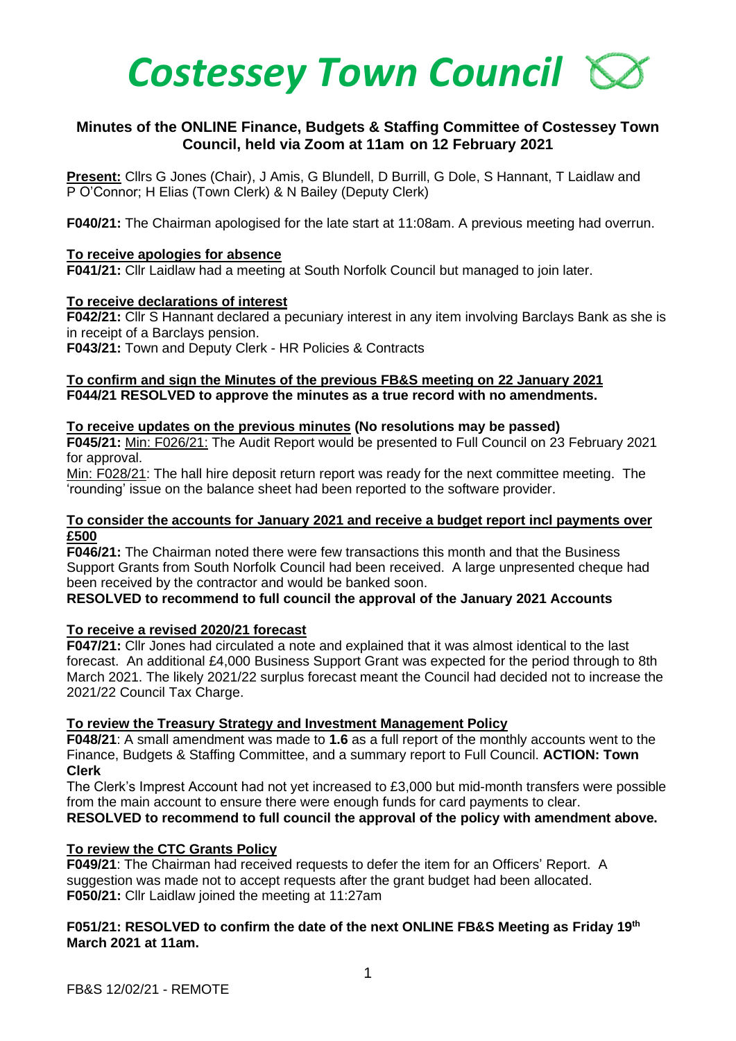

# **Minutes of the ONLINE Finance, Budgets & Staffing Committee of Costessey Town Council, held via Zoom at 11am on 12 February 2021**

**Present:** Cllrs G Jones (Chair), J Amis, G Blundell, D Burrill, G Dole, S Hannant, T Laidlaw and P O'Connor; H Elias (Town Clerk) & N Bailey (Deputy Clerk)

**F040/21:** The Chairman apologised for the late start at 11:08am. A previous meeting had overrun.

### **To receive apologies for absence**

**F041/21:** Cllr Laidlaw had a meeting at South Norfolk Council but managed to join later.

### **To receive declarations of interest**

**F042/21:** Cllr S Hannant declared a pecuniary interest in any item involving Barclays Bank as she is in receipt of a Barclays pension.

**F043/21:** Town and Deputy Clerk - HR Policies & Contracts

### **To confirm and sign the Minutes of the previous FB&S meeting on 22 January 2021 F044/21 RESOLVED to approve the minutes as a true record with no amendments.**

### **To receive updates on the previous minutes (No resolutions may be passed)**

**F045/21:** Min: F026/21: The Audit Report would be presented to Full Council on 23 February 2021 for approval.

Min: F028/21: The hall hire deposit return report was ready for the next committee meeting. The 'rounding' issue on the balance sheet had been reported to the software provider.

#### **To consider the accounts for January 2021 and receive a budget report incl payments over £500**

**F046/21:** The Chairman noted there were few transactions this month and that the Business Support Grants from South Norfolk Council had been received. A large unpresented cheque had been received by the contractor and would be banked soon.

# **RESOLVED to recommend to full council the approval of the January 2021 Accounts**

# **To receive a revised 2020/21 forecast**

**F047/21:** Cllr Jones had circulated a note and explained that it was almost identical to the last forecast. An additional £4,000 Business Support Grant was expected for the period through to 8th March 2021. The likely 2021/22 surplus forecast meant the Council had decided not to increase the 2021/22 Council Tax Charge.

#### **To review the Treasury Strategy and Investment Management Policy**

**F048/21**: A small amendment was made to **1.6** as a full report of the monthly accounts went to the Finance, Budgets & Staffing Committee, and a summary report to Full Council. **ACTION: Town Clerk**

The Clerk's Imprest Account had not yet increased to £3,000 but mid-month transfers were possible from the main account to ensure there were enough funds for card payments to clear. **RESOLVED to recommend to full council the approval of the policy with amendment above.** 

# **To review the CTC Grants Policy**

**F049/21**: The Chairman had received requests to defer the item for an Officers' Report. A suggestion was made not to accept requests after the grant budget had been allocated. **F050/21:** Cllr Laidlaw joined the meeting at 11:27am

### **F051/21: RESOLVED to confirm the date of the next ONLINE FB&S Meeting as Friday 19 th March 2021 at 11am.**